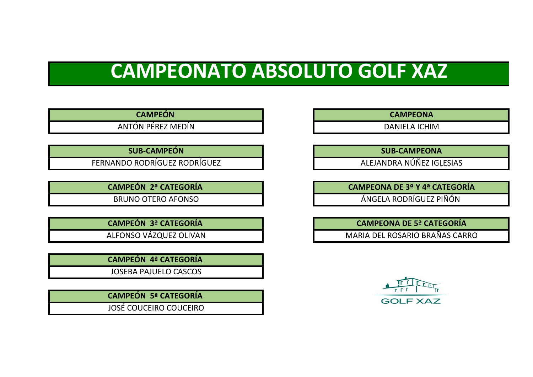# **CAMPEONATO ABSOLUTO GOLF XAZ**

**CAMPEÓN CAMPEONA** 

ANTÓN PÉREZ MEDÍN DANIELA ICHIM

**SUB-CAMPEÓN**

FERNANDO RODRÍGUEZ RODRÍGUEZ

**CAMPEÓN 2ª CATEGORÍA** 

BRUNO OTERO AFONSO

**CAMPEÓN 3ª CATEGORÍA**  ALFONSO VÁZQUEZ OLIVAN

**CAMPEÓN 4ª CATEGORÍA** 

JOSEBA PAJUELO CASCOS

**CAMPEÓN 5ª CATEGORÍA**  JOSÉ COUCEIRO COUCEIRO

**SUB-CAMPEONA**

ALEJANDRA NÚÑEZ IGLESIAS

**CAMPEONA DE 3º Y 4ª CATEGORÍA**

ÁNGELA RODRÍGUEZ PIÑÓN

**CAMPEONA DE 5ª CATEGORÍA**

MARIA DEL ROSARIO BRAÑAS CARRO

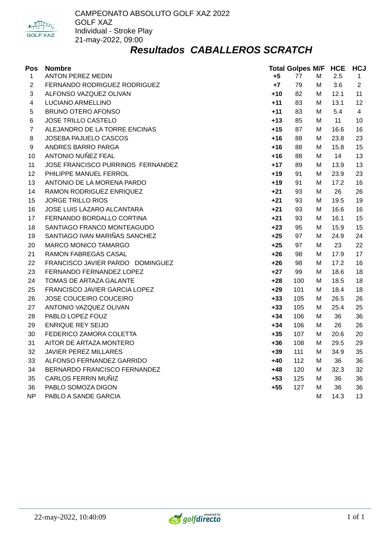

#### *Resultados CABALLEROS SCRATCH*

| Pos                 | <b>Nombre</b><br>ANTON PEREZ MEDIN                   | +5             | <b>Total Golpes M/F HCE</b><br>77 | M      | 2.5          | <b>HCJ</b>     |
|---------------------|------------------------------------------------------|----------------|-----------------------------------|--------|--------------|----------------|
| 1                   | FERNANDO RODRIGUEZ RODRIGUEZ                         | $+7$           |                                   |        | 3.6          | $\mathbf{1}$   |
| $\overline{c}$<br>3 |                                                      | $+10$          | 79<br>82                          | М      | 12.1         | $\overline{2}$ |
|                     | ALFONSO VAZQUEZ OLIVAN                               | $+11$          | 83                                | М      |              | 11             |
| 4                   | LUCIANO ARMELLINO<br><b>BRUNO OTERO AFONSO</b>       | $+11$          | 83                                | М      | 13.1<br>5.4  | 12<br>4        |
| 5                   |                                                      |                |                                   | М      |              |                |
| 6<br>$\overline{7}$ | JOSE TRILLO CASTELO<br>ALEJANDRO DE LA TORRE ENCINAS | $+13$<br>$+15$ | 85<br>87                          | М      | 11<br>16.6   | 10             |
|                     |                                                      |                |                                   | М      |              | 16             |
| 8                   | JOSEBA PAJUELO CASCOS<br>ANDRES BARRO PARGA          | $+16$<br>$+16$ | 88<br>88                          | М      | 23.8<br>15.8 | 23<br>15       |
| 9<br>10             | ANTONIO NUÑEZ FEAL                                   | $+16$          | 88                                | М<br>М | 14           | 13             |
| 11                  | JOSE FRANCISCO PURRINOS FERNANDEZ                    | $+17$          | 89                                | М      | 13.9         | 13             |
| 12                  | PHILIPPE MANUEL FERROL                               | $+19$          | 91                                | М      | 23.9         | 23             |
| 13                  | ANTONIO DE LA MORENA PARDO                           | $+19$          | 91                                | М      | 17.2         | 16             |
| 14                  | RAMON RODRIGUEZ ENRIQUEZ                             | $+21$          | 93                                | М      | 26           | 26             |
| 15                  | <b>JORGE TRILLO RIOS</b>                             | $+21$          | 93                                | M      | 19.5         | 19             |
| 16                  | JOSE LUIS LAZARO ALCANTARA                           | $+21$          | 93                                | М      | 16.6         | 16             |
| 17                  | FERNANDO BORDALLO CORTINA                            | $+21$          | 93                                | М      | 16.1         | 15             |
| 18                  | SANTIAGO FRANCO MONTEAGUDO                           | $+23$          | 95                                | М      | 15.9         | 15             |
| 19                  | SANTIAGO IVAN MARIÑAS SANCHEZ                        | $+25$          | 97                                | М      | 24.9         | 24             |
| 20                  | MARCO MONICO TAMARGO                                 | $+25$          | 97                                | М      | 23           | 22             |
| 21                  | RAMON FABREGAS CASAL                                 | $+26$          | 98                                | M      | 17.9         | 17             |
| 22                  | FRANCISCO JAVIER PARDO DOMINGUEZ                     | $+26$          | 98                                | М      | 17.2         | 16             |
| 23                  | FERNANDO FERNANDEZ LOPEZ                             | $+27$          | 99                                | М      | 18.6         | 18             |
| 24                  | TOMAS DE ARTAZA GALANTE                              | $+28$          | 100                               | М      | 18.5         | 18             |
| 25                  | FRANCISCO JAVIER GARCIA LOPEZ                        | $+29$          | 101                               | М      | 18.4         | 18             |
| 26                  | JOSE COUCEIRO COUCEIRO                               | $+33$          | 105                               | М      | 26.5         | 26             |
| 27                  | ANTONIO VAZQUEZ OLIVAN                               | $+33$          | 105                               | М      | 25.4         | 25             |
| 28                  | PABLO LOPEZ FOUZ                                     | $+34$          | 106                               | М      | 36           | 36             |
| 29                  | <b>ENRIQUE REY SEIJO</b>                             | $+34$          | 106                               | М      | 26           | 26             |
| 30                  | FEDERICO ZAMORA COLETTA                              | $+35$          | 107                               | М      | 20.6         | 20             |
| 31                  | AITOR DE ARTAZA MONTERO                              | $+36$          | 108                               | м      | 29.5         | 29             |
| 32                  | <b>JAVIER PEREZ MILLARES</b>                         | $+39$          | 111                               | м      | 34.9         | 35             |
| 33                  | ALFONSO FERNANDEZ GARRIDO                            | $+40$          | 112                               | М      | 36           | 36             |
| 34                  | BERNARDO FRANCISCO FERNANDEZ                         | $+48$          | 120                               | м      | 32.3         | 32             |
| 35                  | CARLOS FERRIN MUÑIZ                                  | $+53$          | 125                               | M      | 36           | 36             |
| 36                  | PABLO SOMOZA DIGON                                   | $+55$          | 127                               | M      | 36           | 36             |
| NP                  | PABLO A SANDE GARCIA                                 |                |                                   | М      | 14.3         | 13             |

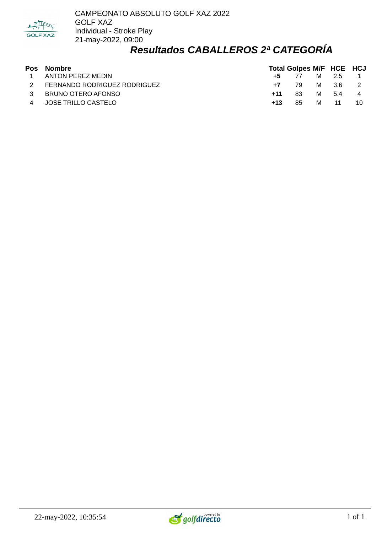

#### *Resultados CABALLEROS 2ª CATEGORÍA*

| <b>Pos Nombre</b>              |       | <b>Total Golpes M/F HCE HCJ</b> |   |                 |      |
|--------------------------------|-------|---------------------------------|---|-----------------|------|
| 1 ANTON PEREZ MEDIN            |       | <b>+5</b> 77 M 2.5 1            |   |                 |      |
| 2 FERNANDO RODRIGUEZ RODRIGUEZ |       | $+7$ 79 M 3.6 2                 |   |                 |      |
| 3 BRUNO OTERO AFONSO           | $+11$ | -83                             |   | M 5.4 4         |      |
| 4 JOSE TRILLO CASTELO          | $+13$ | 85.                             | M | $\overline{11}$ | - 10 |

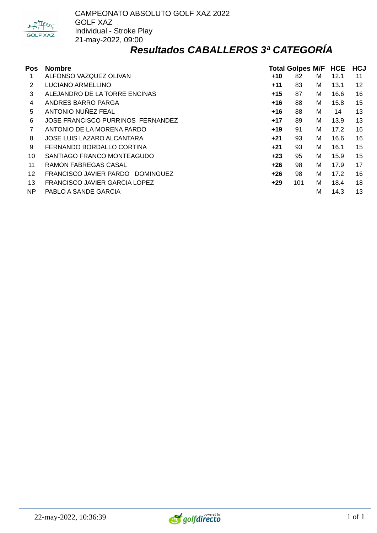

#### *Resultados CABALLEROS 3ª CATEGORÍA*

| Pos | <b>Nombre</b>                            |       | <b>Total Golpes M/F</b> |   | <b>HCE</b> | <b>HCJ</b> |
|-----|------------------------------------------|-------|-------------------------|---|------------|------------|
| 1   | ALFONSO VAZQUEZ OLIVAN                   | $+10$ | 82                      | М | 12.1       | 11         |
| 2   | LUCIANO ARMELLINO                        | $+11$ | 83                      | м | 13.1       | 12         |
| 3   | ALEJANDRO DE LA TORRE ENCINAS            | $+15$ | 87                      | м | 16.6       | 16         |
| 4   | ANDRES BARRO PARGA                       | $+16$ | 88                      | М | 15.8       | 15         |
| 5   | ANTONIO NUÑEZ FEAL                       | $+16$ | 88                      | М | 14         | 13         |
| 6   | <b>JOSE FRANCISCO PURRINOS FERNANDEZ</b> | $+17$ | 89                      | М | 13.9       | 13         |
| 7   | ANTONIO DE LA MORENA PARDO               | $+19$ | 91                      | м | 17.2       | 16         |
| 8   | JOSE LUIS LAZARO ALCANTARA               | $+21$ | 93                      | М | 16.6       | 16         |
| 9   | FERNANDO BORDALLO CORTINA                | $+21$ | 93                      | м | 16.1       | 15         |
| 10  | SANTIAGO FRANCO MONTEAGUDO               | $+23$ | 95                      | М | 15.9       | 15         |
| 11  | <b>RAMON FABREGAS CASAL</b>              | +26   | 98                      | м | 17.9       | 17         |
| 12  | FRANCISCO JAVIER PARDO DOMINGUEZ         | $+26$ | 98                      | М | 17.2       | 16         |
| 13  | FRANCISCO JAVIER GARCIA LOPEZ            | $+29$ | 101                     | М | 18.4       | 18         |
| NP. | PABLO A SANDE GARCIA                     |       |                         | M | 14.3       | 13         |

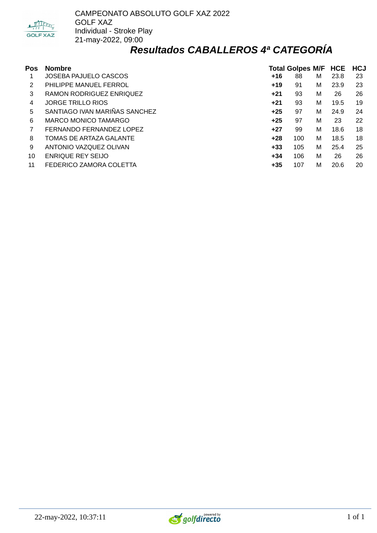

#### *Resultados CABALLEROS 4ª CATEGORÍA*

| Pos | <b>Nombre</b>                 | <b>Total Golpes M/F HCE</b> |     |   |      |    |  |  |
|-----|-------------------------------|-----------------------------|-----|---|------|----|--|--|
|     | <b>JOSEBA PAJUELO CASCOS</b>  | $+16$                       | 88  | м | 23.8 | 23 |  |  |
| 2   | PHILIPPE MANUEL FERROL        | $+19$                       | 91  | м | 23.9 | 23 |  |  |
| 3   | RAMON RODRIGUEZ ENRIQUEZ      | $+21$                       | 93  | м | 26   | 26 |  |  |
| 4   | <b>JORGE TRILLO RIOS</b>      | $+21$                       | 93  | м | 19.5 | 19 |  |  |
| 5   | SANTIAGO IVAN MARIÑAS SANCHEZ | $+25$                       | 97  | м | 24.9 | 24 |  |  |
| 6   | MARCO MONICO TAMARGO          | $+25$                       | 97  | M | 23   | 22 |  |  |
|     | FERNANDO FERNANDEZ LOPEZ      | $+27$                       | 99  | м | 18.6 | 18 |  |  |
| 8   | TOMAS DE ARTAZA GALANTE       | $+28$                       | 100 | м | 18.5 | 18 |  |  |
| 9   | ANTONIO VAZQUEZ OLIVAN        | $+33$                       | 105 | м | 25.4 | 25 |  |  |
| 10  | <b>ENRIQUE REY SEIJO</b>      | $+34$                       | 106 | M | 26   | 26 |  |  |
| 11  | FEDERICO ZAMORA COLETTA       | $+35$                       | 107 | M | 20.6 | 20 |  |  |

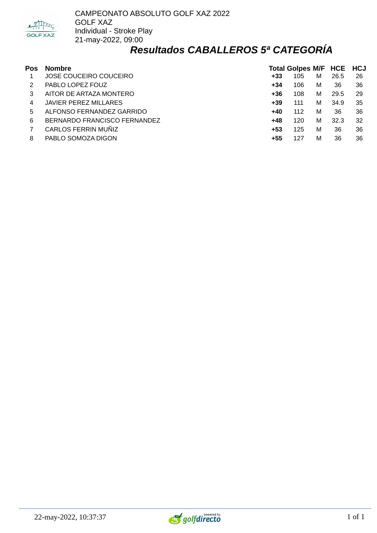

#### *Resultados CABALLEROS 5ª CATEGORÍA*

| Pos | <b>Nombre</b>                |       | Total Golpes M/F HCE HCJ |   |      |    |
|-----|------------------------------|-------|--------------------------|---|------|----|
|     | JOSE COUCEIRO COUCEIRO       | $+33$ | 105                      | M | 26.5 | 26 |
|     | PABLO LOPEZ FOUZ             | +34   | 106                      | м | 36   | 36 |
|     | AITOR DE ARTAZA MONTERO      | $+36$ | 108                      | м | 29.5 | 29 |
| 4   | <b>JAVIER PEREZ MILLARES</b> | $+39$ | 111                      | М | 34.9 | 35 |
| 5.  | ALFONSO FERNANDEZ GARRIDO    | $+40$ | 112                      | М | 36   | 36 |
| 6   | BERNARDO FRANCISCO FERNANDEZ | +48   | 120                      | М | 32.3 | 32 |
|     | CARLOS FERRIN MUÑIZ          | +53   | 125                      | М | 36   | 36 |
| 8   | PABLO SOMOZA DIGON           | +55   | 127                      | M | 36   | 36 |

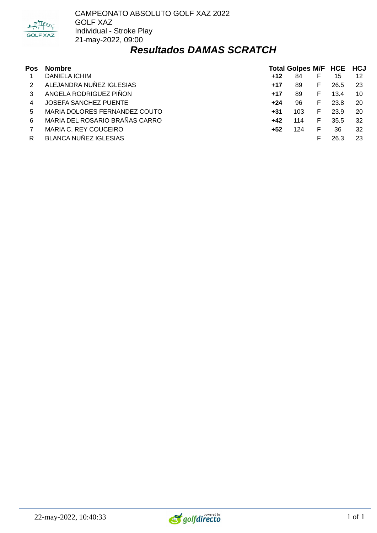

CAMPEONATO ABSOLUTO GOLF XAZ 2022 GOLF XAZ Individual - Stroke Play 21-may-2022, 09:00

#### *Resultados DAMAS SCRATCH*

| Pos | <b>Nombre</b>                  | Total Golpes M/F HCE HCJ |     |    |      |     |  |
|-----|--------------------------------|--------------------------|-----|----|------|-----|--|
|     | <b>DANIELA ICHIM</b>           | $+12$                    | 84  | F  | 15   | 12  |  |
|     | ALEJANDRA NUÑEZ IGLESIAS       | $+17$                    | 89  | F. | 26.5 | -23 |  |
| 3   | ANGELA RODRIGUEZ PIÑON         | $+17$                    | 89  | F. | 13.4 | 10  |  |
| 4   | JOSEFA SANCHEZ PUENTE          | $+24$                    | 96  | F  | 23.8 | 20  |  |
| 5.  | MARIA DOLORES FERNANDEZ COUTO  | $+31$                    | 103 | F. | 23.9 | 20  |  |
| 6   | MARIA DEL ROSARIO BRAÑAS CARRO | +42                      | 114 | F. | 35.5 | 32  |  |
|     | MARIA C. REY COUCEIRO          | +52                      | 124 | F  | 36   | 32  |  |
| R   | <b>BLANCA NUÑEZ IGLESIAS</b>   |                          |     |    | 26.3 | 23  |  |

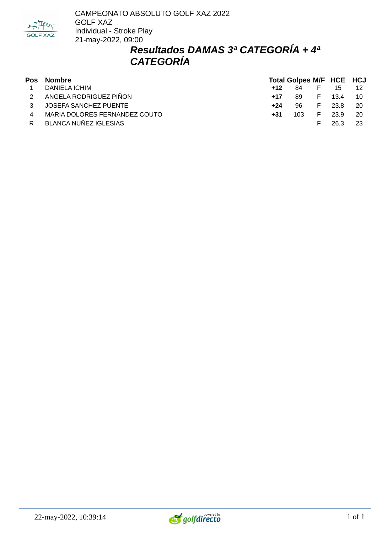

### *Resultados DAMAS 3ª CATEGORÍA + 4ª CATEGORÍA*

| Pos            | Nombre                        |       |      | <b>Total Golpes M/F HCE HCJ</b> |        |      |  |
|----------------|-------------------------------|-------|------|---------------------------------|--------|------|--|
|                | DANIELA ICHIM                 | $+12$ | 84   | E.                              | -15    |      |  |
|                | 2 ANGELA RODRIGUEZ PIÑON      | $+17$ | -89  |                                 | F 13.4 | - 10 |  |
| $\mathcal{S}$  | JOSEFA SANCHEZ PUENTE         | +24   | 96   | F.                              | 23 R   | - 20 |  |
| $\overline{4}$ | MARIA DOLORES FERNANDEZ COUTO | $+31$ | 103. | E.                              | 23.9   | - 20 |  |
| R.             | BLANCA NUÑEZ IGLESIAS         |       |      | F.                              | 26.3   |      |  |